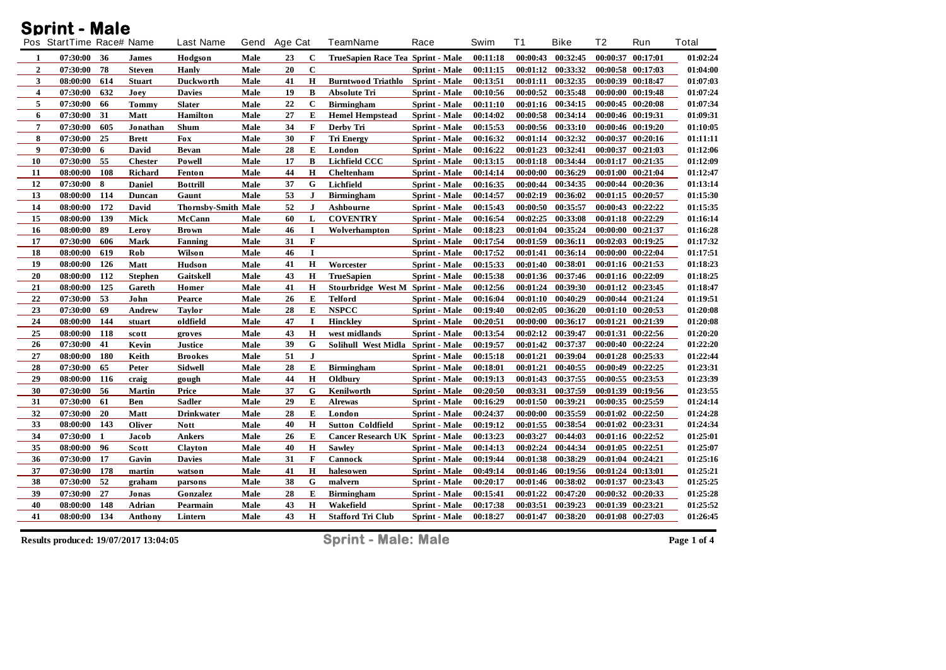## **Sprint - Male**

|                         | Pos StartTime Race# Name |     |                | <b>Last Name</b>           | Gend | Age Cat |              | <b>TeamName</b>                         | Race                 | Swim     | <b>T1</b> | <b>Bike</b>       | T <sub>2</sub>    | Run               | Total    |
|-------------------------|--------------------------|-----|----------------|----------------------------|------|---------|--------------|-----------------------------------------|----------------------|----------|-----------|-------------------|-------------------|-------------------|----------|
| 1                       | 07:30:00                 | 36  | <b>James</b>   | Hodgson                    | Male | 23      | $\mathbf{C}$ | TrueSapien Race Tea Sprint - Male       |                      | 00:11:18 | 00:00:43  | 00:32:45          |                   | 00:00:37 00:17:01 | 01:02:24 |
| $\overline{2}$          | 07:30:00                 | 78  | <b>Steven</b>  | Hanly                      | Male | 20      | $\mathbf C$  |                                         | <b>Sprint - Male</b> | 00:11:15 | 00:01:12  | 00:33:32          |                   | 00:00:58 00:17:03 | 01:04:00 |
| 3                       | 08:00:00                 | 614 | <b>Stuart</b>  | <b>Duckworth</b>           | Male | 41      | H            | Burntwood Triathlo Sprint - Male        |                      | 00:13:51 | 00:01:11  | 00:32:35          |                   | 00:00:39 00:18:47 | 01:07:03 |
| $\overline{\mathbf{4}}$ | 07:30:00                 | 632 | Joey           | <b>Davies</b>              | Male | 19      | B            | Absolute Tri                            | Sprint - Male        | 00:10:56 | 00:00:52  | 00:35:48          |                   | 00:00:00 00:19:48 | 01:07:24 |
| 5                       | 07:30:00                 | 66  | <b>Tommy</b>   | <b>Slater</b>              | Male | 22      | $\mathbf C$  | <b>Birmingham</b>                       | Sprint - Male        | 00:11:10 | 00:01:16  | 00:34:15          |                   | 00:00:45 00:20:08 | 01:07:34 |
| 6                       | 07:30:00                 | 31  | Matt           | <b>Hamilton</b>            | Male | 27      | E            | <b>Hemel Hempstead</b>                  | <b>Sprint - Male</b> | 00:14:02 | 00:00:58  | 00:34:14          |                   | 00:00:46 00:19:31 | 01:09:31 |
| $\overline{7}$          | 07:30:00                 | 605 | Jonathan       | Shum                       | Male | 34      | F            | Derby Tri                               | Sprint - Male        | 00:15:53 | 00:00:56  | 00:33:10          |                   | 00:00:46 00:19:20 | 01:10:05 |
| 8                       | 07:30:00                 | 25  | <b>Brett</b>   | <b>Fox</b>                 | Male | 30      | $\bf{F}$     | <b>Tri Energy</b>                       | <b>Sprint</b> - Male | 00:16:32 | 00:01:14  | 00:32:32          |                   | 00:00:37 00:20:16 | 01:11:11 |
| 9                       | 07:30:00                 | 6   | David          | <b>Bevan</b>               | Male | 28      | E            | London                                  | Sprint - Male        | 00:16:22 | 00:01:23  | 00:32:41          |                   | 00:00:37 00:21:03 | 01:12:06 |
| 10                      | 07:30:00                 | 55  | <b>Chester</b> | Powell                     | Male | 17      | B            | <b>Lichfield CCC</b>                    | <b>Sprint - Male</b> | 00:13:15 | 00:01:18  | 00:34:44          |                   | 00:01:17 00:21:35 | 01:12:09 |
| 11                      | 08:00:00                 | 108 | Richard        | Fenton                     | Male | 44      | H            | Cheltenham                              | <b>Sprint</b> - Male | 00:14:14 | 00:00:00  | 00:36:29          | 00:01:00          | 00:21:04          | 01:12:47 |
| 12                      | 07:30:00                 | 8   | Daniel         | <b>Bottrill</b>            | Male | 37      | G            | Lichfield                               | <b>Sprint - Male</b> | 00:16:35 | 00:00:44  | 00:34:35          |                   | 00:00:44 00:20:36 | 01:13:14 |
| 13                      | 08:00:00                 | 114 | Duncan         | Gaunt                      | Male | 53      | $\mathbf{J}$ | <b>Birmingham</b>                       | Sprint - Male        | 00:14:57 | 00:02:19  | 00:36:02          | 00:01:15 00:20:57 |                   | 01:15:30 |
| 14                      | 08:00:00                 | 172 | David          | <b>Thornsby-Smith Male</b> |      | 52      | $\mathbf{J}$ | Ashbourne                               | <b>Sprint - Male</b> | 00:15:43 | 00:00:50  | 00:35:57          |                   | 00:00:43 00:22:22 | 01:15:35 |
| 15                      | 08:00:00                 | 139 | Mick           | McCann                     | Male | 60      | L            | <b>COVENTRY</b>                         | <b>Sprint</b> - Male | 00:16:54 | 00:02:25  | 00:33:08          |                   | 00:01:18 00:22:29 | 01:16:14 |
| 16                      | 08:00:00                 | 89  | Leroy          | <b>Brown</b>               | Male | 46      | $\mathbf I$  | Wolverhampton                           | <b>Sprint - Male</b> | 00:18:23 | 00:01:04  | 00:35:24          | 00:00:00 00:21:37 |                   | 01:16:28 |
| ${\bf 17}$              | 07:30:00                 | 606 | <b>Mark</b>    | Fanning                    | Male | 31      | $\mathbf F$  |                                         | Sprint - Male        | 00:17:54 | 00:01:59  | 00:36:11          |                   | 00:02:03 00:19:25 | 01:17:32 |
| 18                      | 08:00:00                 | 619 | Rob            | Wilson                     | Male | 46      | I            |                                         | Sprint - Male        | 00:17:52 | 00:01:41  | 00:36:14          | 00:00:00 00:22:04 |                   | 01:17:51 |
| 19                      | 08:00:00                 | 126 | Matt           | Hudson                     | Male | 41      | H            | Worcester                               | <b>Sprint</b> - Male | 00:15:33 | 00:01:40  | 00:38:01          |                   | 00:01:16 00:21:53 | 01:18:23 |
| 20                      | 08:00:00                 | 112 | <b>Stephen</b> | Gaitskell                  | Male | 43      | H            | <b>TrueSapien</b>                       | <b>Sprint - Male</b> | 00:15:38 | 00:01:36  | 00:37:46          | 00:01:16 00:22:09 |                   | 01:18:25 |
| $\bf 21$                | 08:00:00                 | 125 | Gareth         | Homer                      | Male | 41      | $\mathbf H$  | Stourbridge West M Sprint - Male        |                      | 00:12:56 | 00:01:24  | 00:39:30          |                   | 00:01:12 00:23:45 | 01:18:47 |
| 22                      | 07:30:00                 | 53  | John           | Pearce                     | Male | 26      | E            | <b>Telford</b>                          | <b>Sprint - Male</b> | 00:16:04 | 00:01:10  | 00:40:29          |                   | 00:00:44 00:21:24 | 01:19:51 |
| 23                      | 07:30:00                 | 69  | Andrew         | <b>Taylor</b>              | Male | 28      | E            | <b>NSPCC</b>                            | <b>Sprint</b> - Male | 00:19:40 | 00:02:05  | 00:36:20          |                   | 00:01:10 00:20:53 | 01:20:08 |
| 24                      | 08:00:00                 | 144 | stuart         | oldfield                   | Male | 47      | $\bf{I}$     | <b>Hinckley</b>                         | Sprint - Male        | 00:20:51 | 00:00:00  | 00:36:17          |                   | 00:01:21 00:21:39 | 01:20:08 |
| 25                      | 08:00:00                 | 118 | scott          | groves                     | Male | 43      | $\mathbf H$  | west midlands                           | <b>Sprint - Male</b> | 00:13:54 | 00:02:12  | 00:39:47          | 00:01:31          | 00:22:56          | 01:20:20 |
| 26                      | 07:30:00                 | 41  | Kevin          | <b>Justice</b>             | Male | 39      | G            | Solihull West Midla Sprint - Male       |                      | 00:19:57 | 00:01:42  | 00:37:37          | 00:00:40 00:22:24 |                   | 01:22:20 |
| 27                      | 08:00:00                 | 180 | Keith          | <b>Brookes</b>             | Male | 51      | $\mathbf{J}$ |                                         | <b>Sprint</b> - Male | 00:15:18 | 00:01:21  | 00:39:04          |                   | 00:01:28 00:25:33 | 01:22:44 |
| 28                      | 07:30:00                 | 65  | Peter          | <b>Sidwell</b>             | Male | 28      | E            | <b>Birmingham</b>                       | <b>Sprint</b> - Male | 00:18:01 | 00:01:21  | 00:40:55          |                   | 00:00:49 00:22:25 | 01:23:31 |
| 29                      | 08:00:00                 | 116 | craig          | gough                      | Male | 44      | H            | Oldbury                                 | Sprint - Male        | 00:19:13 | 00:01:43  | 00:37:55          |                   | 00:00:55 00:23:53 | 01:23:39 |
| 30                      | 07:30:00                 | 56  | <b>Martin</b>  | Price                      | Male | 37      | G            | Kenilworth                              | Sprint - Male        | 00:20:50 | 00:03:31  | 00:37:59          |                   | 00:01:39 00:19:56 | 01:23:55 |
| 31                      | 07:30:00                 | 61  | Ben            | <b>Sadler</b>              | Male | 29      | E            | <b>Alrewas</b>                          | <b>Sprint</b> - Male | 00:16:29 | 00:01:50  | 00:39:21          |                   | 00:00:35 00:25:59 | 01:24:14 |
| 32                      | 07:30:00                 | 20  | Matt           | <b>Drinkwater</b>          | Male | 28      | E            | London                                  | Sprint - Male        | 00:24:37 | 00:00:00  | 00:35:59          | 00:01:02 00:22:50 |                   | 01:24:28 |
| 33                      | 08:00:00                 | 143 | <b>Oliver</b>  | <b>Nott</b>                | Male | 40      | H            | <b>Sutton Coldfield</b>                 | Sprint - Male        | 00:19:12 | 00:01:55  | 00:38:54          |                   | 00:01:02 00:23:31 | 01:24:34 |
| 34                      | 07:30:00                 | 1   | Jacob          | <b>Ankers</b>              | Male | 26      | Е            | <b>Cancer Research UK Sprint - Male</b> |                      | 00:13:23 | 00:03:27  | 00:44:03          | 00:01:16 00:22:52 |                   | 01:25:01 |
| 35                      | 08:00:00                 | 96  | Scott          | <b>Clayton</b>             | Male | 40      | H            | <b>Sawley</b>                           | <b>Sprint</b> - Male | 00:14:13 | 00:02:24  | 00:44:34          |                   | 00:01:05 00:22:51 | 01:25:07 |
| 36                      | 07:30:00                 | 17  | Gavin          | <b>Davies</b>              | Male | 31      | F            | Cannock                                 | Sprint - Male        | 00:19:44 | 00:01:38  | 00:38:29          |                   | 00:01:04 00:24:21 | 01:25:16 |
| 37                      | 07:30:00                 | 178 | martin         | watson                     | Male | 41      | H            | halesowen                               | Sprint - Male        | 00:49:14 | 00:01:46  | 00:19:56          |                   | 00:01:24 00:13:01 | 01:25:21 |
| 38                      | 07:30:00                 | 52  | graham         | parsons                    | Male | 38      | G            | malvern                                 | <b>Sprint</b> - Male | 00:20:17 | 00:01:46  | 00:38:02          | 00:01:37          | 00:23:43          | 01:25:25 |
| 39                      | 07:30:00                 | 27  | Jonas          | Gonzalez                   | Male | 28      | E            | <b>Birmingham</b>                       | Sprint - Male        | 00:15:41 | 00:01:22  | 00:47:20          |                   | 00:00:32 00:20:33 | 01:25:28 |
| 40                      | 08:00:00                 | 148 | Adrian         | Pearmain                   | Male | 43      | $\bf H$      | Wakefield                               | Sprint - Male        | 00:17:38 | 00:03:51  | 00:39:23          | 00:01:39          | 00:23:21          | 01:25:52 |
| 41                      | 08:00:00                 | 134 | Anthony        | Lintern                    | Male | 43      | $\mathbf H$  | <b>Stafford Tri Club</b>                | Sprint - Male        | 00:18:27 |           | 00:01:47 00:38:20 | 00:01:08 00:27:03 |                   | 01:26:45 |

**Results produced: 19/07/2017 13:04:05 Sprint - Male: Male Page 1 of 4**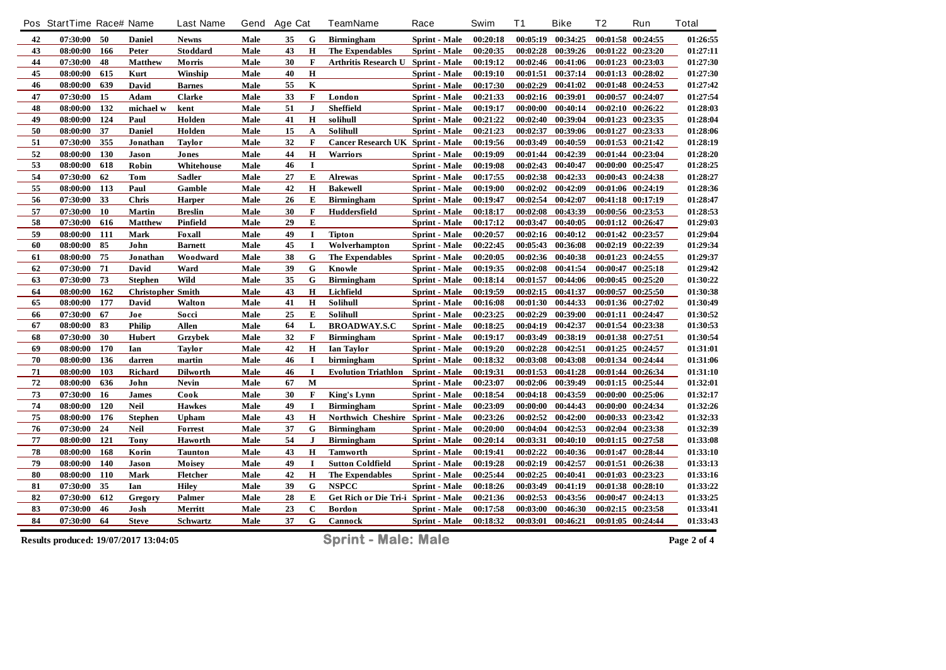|    | Pos StartTime Race# Name |     |                          | <b>Last Name</b> | Gend | <b>Age Cat</b> |              | TeamName                            | Race                 | Swim     | T <sub>1</sub> | <b>Bike</b>       | T <sub>2</sub> | Run               | <b>Total</b> |
|----|--------------------------|-----|--------------------------|------------------|------|----------------|--------------|-------------------------------------|----------------------|----------|----------------|-------------------|----------------|-------------------|--------------|
| 42 | 07:30:00                 | 50  | <b>Daniel</b>            | <b>Newns</b>     | Male | 35             | G            | <b>Birmingham</b>                   | Sprint - Male        | 00:20:18 | 00:05:19       | 00:34:25          |                | 00:01:58 00:24:55 | 01:26:55     |
| 43 | 08:00:00                 | 166 | Peter                    | Stoddard         | Male | 43             | H            | The Expendables                     | <b>Sprint</b> - Male | 00:20:35 | 00:02:28       | 00:39:26          |                | 00:01:22 00:23:20 | 01:27:11     |
| 44 | 07:30:00                 | 48  | <b>Matthew</b>           | Morris           | Male | 30             | $\mathbf F$  | Arthritis Research U                | <b>Sprint - Male</b> | 00:19:12 | 00:02:46       | 00:41:06          |                | 00:01:23 00:23:03 | 01:27:30     |
| 45 | 08:00:00                 | 615 | Kurt                     | Winship          | Male | 40             | $\bf H$      |                                     | Sprint - Male        | 00:19:10 | 00:01:51       | 00:37:14          |                | 00:01:13 00:28:02 | 01:27:30     |
| 46 | 08:00:00                 | 639 | David                    | <b>Barnes</b>    | Male | 55             | $\bf K$      |                                     | <b>Sprint - Male</b> | 00:17:30 | 00:02:29       | 00:41:02          |                | 00:01:48 00:24:53 | 01:27:42     |
| 47 | 07:30:00                 | 15  | Adam                     | <b>Clarke</b>    | Male | 33             | $\mathbf F$  | London                              | Sprint - Male        | 00:21:33 | 00:02:16       | 00:39:01          |                | 00:00:57 00:24:07 | 01:27:54     |
| 48 | 08:00:00                 | 132 | michael w                | kent             | Male | 51             | J            | <b>Sheffield</b>                    | <b>Sprint - Male</b> | 00:19:17 | 00:00:00       | 00:40:14          |                | 00:02:10 00:26:22 | 01:28:03     |
| 49 | 08:00:00                 | 124 | Paul                     | Holden           | Male | 41             | H            | solihull                            | Sprint - Male        | 00:21:22 | 00:02:40       | 00:39:04          |                | 00:01:23 00:23:35 | 01:28:04     |
| 50 | 08:00:00                 | 37  | Daniel                   | Holden           | Male | 15             | A            | Solihull                            | Sprint - Male        | 00:21:23 | 00:02:37       | 00:39:06          |                | 00:01:27 00:23:33 | 01:28:06     |
| 51 | 07:30:00                 | 355 | Jonathan                 | <b>Taylor</b>    | Male | 32             | F            | Cancer Research UK Sprint - Male    |                      | 00:19:56 | 00:03:49       | 00:40:59          |                | 00:01:53 00:21:42 | 01:28:19     |
| 52 | 08:00:00                 | 130 | Jason                    | Jones            | Male | 44             | $\mathbf H$  | <b>Warriors</b>                     | Sprint - Male        | 00:19:09 | 00:01:44       | 00:42:39          |                | 00:01:44 00:23:04 | 01:28:20     |
| 53 | 08:00:00                 | 618 | Robin                    | Whitehouse       | Male | 46             | $\mathbf{I}$ |                                     | <b>Sprint</b> - Male | 00:19:08 | 00:02:43       | 00:40:47          |                | 00:00:00 00:25:47 | 01:28:25     |
| 54 | 07:30:00                 | 62  | Tom                      | <b>Sadler</b>    | Male | 27             | E            | <b>Alrewas</b>                      | Sprint - Male        | 00:17:55 | 00:02:38       | 00:42:33          |                | 00:00:43 00:24:38 | 01:28:27     |
| 55 | 08:00:00                 | 113 | Paul                     | Gamble           | Male | 42             | $\mathbf H$  | <b>Bakewell</b>                     | <b>Sprint - Male</b> | 00:19:00 | 00:02:02       | 00:42:09          |                | 00:01:06 00:24:19 | 01:28:36     |
| 56 | 07:30:00                 | 33  | <b>Chris</b>             | Harper           | Male | 26             | E            | <b>Birmingham</b>                   | <b>Sprint</b> - Male | 00:19:47 | 00:02:54       | 00:42:07          |                | 00:41:18 00:17:19 | 01:28:47     |
| 57 | 07:30:00                 | 10  | <b>Martin</b>            | <b>Breslin</b>   | Male | 30             | $\mathbf F$  | Huddersfield                        | Sprint - Male        | 00:18:17 | 00:02:08       | 00:43:39          |                | 00:00:56 00:23:53 | 01:28:53     |
| 58 | 07:30:00                 | 616 | <b>Matthew</b>           | Pinfield         | Male | 29             | E            |                                     | Sprint - Male        | 00:17:12 | 00:03:47       | 00:40:05          |                | 00:01:12 00:26:47 | 01:29:03     |
| 59 | 08:00:00                 | 111 | Mark                     | Foxall           | Male | 49             | $\mathbf I$  | <b>Tipton</b>                       | Sprint - Male        | 00:20:57 | 00:02:16       | 00:40:12          |                | 00:01:42 00:23:57 | 01:29:04     |
| 60 | 08:00:00                 | 85  | John                     | <b>Barnett</b>   | Male | 45             | $\mathbf I$  | Wolverhampton                       | <b>Sprint - Male</b> | 00:22:45 | 00:05:43       | 00:36:08          |                | 00:02:19 00:22:39 | 01:29:34     |
| 61 | 08:00:00                 | 75  | Jonathan                 | Woodward         | Male | 38             | G            | The Expendables                     | Sprint - Male        | 00:20:05 |                | 00:02:36 00:40:38 |                | 00:01:23 00:24:55 | 01:29:37     |
| 62 | 07:30:00                 | 71  | David                    | Ward             | Male | 39             | G            | Knowle                              | <b>Sprint</b> - Male | 00:19:35 | 00:02:08       | 00:41:54          |                | 00:00:47 00:25:18 | 01:29:42     |
| 63 | 07:30:00                 | 73  | <b>Stephen</b>           | Wild             | Male | 35             | G            | <b>Birmingham</b>                   | <b>Sprint - Male</b> | 00:18:14 | 00:01:57       | 00:44:06          |                | 00:00:45 00:25:20 | 01:30:22     |
| 64 | 08:00:00                 | 162 | <b>Christopher Smith</b> |                  | Male | 43             | H            | Lichfield                           | Sprint - Male        | 00:19:59 | 00:02:15       | 00:41:37          |                | 00:00:57 00:25:50 | 01:30:38     |
| 65 | 08:00:00                 | 177 | David                    | Walton           | Male | 41             | $\mathbf H$  | Solihull                            | <b>Sprint</b> - Male | 00:16:08 | 00:01:30       | 00:44:33          |                | 00:01:36 00:27:02 | 01:30:49     |
| 66 | 07:30:00                 | 67  | Joe                      | Socci            | Male | 25             | E            | Solihull                            | Sprint - Male        | 00:23:25 | 00:02:29       | 00:39:00          |                | 00:01:11 00:24:47 | 01:30:52     |
| 67 | 08:00:00                 | 83  | Philip                   | Allen            | Male | 64             | L            | <b>BROADWAY.S.C</b>                 | Sprint - Male        | 00:18:25 | 00:04:19       | 00:42:37          |                | 00:01:54 00:23:38 | 01:30:53     |
| 68 | 07:30:00                 | 30  | Hubert                   | Grzybek          | Male | 32             | $\mathbf{F}$ | <b>Birmingham</b>                   | Sprint - Male        | 00:19:17 | 00:03:49       | 00:38:19          | 00:01:38       | 00:27:51          | 01:30:54     |
| 69 | 08:00:00                 | 170 | Ian                      | <b>Taylor</b>    | Male | 42             | $\bf H$      | Ian Taylor                          | <b>Sprint</b> - Male | 00:19:20 | 00:02:28       | 00:42:51          |                | 00:01:25 00:24:57 | 01:31:01     |
| 70 | 08:00:00                 | 136 | darren                   | martin           | Male | 46             | $\mathbf I$  | birmingham                          | Sprint - Male        | 00:18:32 | 00:03:08       | 00:43:08          |                | 00:01:34 00:24:44 | 01:31:06     |
| 71 | 08:00:00                 | 103 | Richard                  | <b>Dilworth</b>  | Male | 46             | $\mathbf I$  | <b>Evolution Triathlon</b>          | Sprint - Male        | 00:19:31 | 00:01:53       | 00:41:28          |                | 00:01:44 00:26:34 | 01:31:10     |
| 72 | 08:00:00                 | 636 | John                     | <b>Nevin</b>     | Male | 67             | M            |                                     | <b>Sprint - Male</b> | 00:23:07 | 00:02:06       | 00:39:49          |                | 00:01:15 00:25:44 | 01:32:01     |
| 73 | 07:30:00                 | 16  | <b>James</b>             | Cook             | Male | 30             | $\mathbf F$  | <b>King's Lynn</b>                  | Sprint - Male        | 00:18:54 | 00:04:18       | 00:43:59          |                | 00:00:00 00:25:06 | 01:32:17     |
| 74 | 08:00:00                 | 120 | <b>Neil</b>              | <b>Hawkes</b>    | Male | 49             | $\mathbf I$  | <b>Birmingham</b>                   | <b>Sprint - Male</b> | 00:23:09 | 00:00:00       | 00:44:43          | 00:00:00       | 00:24:34          | 01:32:26     |
| 75 | 08:00:00                 | 176 | <b>Stephen</b>           | <b>Upham</b>     | Male | 43             | $\mathbf H$  | Northwich Cheshire Sprint - Male    |                      | 00:23:26 | 00:02:52       | 00:42:00          |                | 00:00:33 00:23:42 | 01:32:33     |
| 76 | 07:30:00                 | 24  | <b>Neil</b>              | <b>Forrest</b>   | Male | 37             | G            | <b>Birmingham</b>                   | Sprint - Male        | 00:20:00 | 00:04:04       | 00:42:53          |                | 00:02:04 00:23:38 | 01:32:39     |
| 77 | 08:00:00                 | 121 | <b>Tony</b>              | Haworth          | Male | 54             | J            | <b>Birmingham</b>                   | Sprint - Male        | 00:20:14 | 00:03:31       | 00:40:10          |                | 00:01:15 00:27:58 | 01:33:08     |
| 78 | 08:00:00                 | 168 | Korin                    | <b>Taunton</b>   | Male | 43             | $\mathbf H$  | <b>Tamworth</b>                     | Sprint - Male        | 00:19:41 | 00:02:22       | 00:40:36          |                | 00:01:47 00:28:44 | 01:33:10     |
| 79 | 08:00:00                 | 140 | Jason                    | Moisey           | Male | 49             | $\mathbf I$  | <b>Sutton Coldfield</b>             | Sprint - Male        | 00:19:28 | 00:02:19       | 00:42:57          |                | 00:01:51 00:26:38 | 01:33:13     |
| 80 | 08:00:00                 | 110 | Mark                     | Fletcher         | Male | 42             | $\bf H$      | The Expendables                     | Sprint - Male        | 00:25:44 | 00:02:25       | 00:40:41          | 00:01:03       | 00:23:23          | 01:33:16     |
| 81 | 07:30:00                 | 35  | Ian                      | <b>Hiley</b>     | Male | 39             | G            | <b>NSPCC</b>                        | <b>Sprint</b> - Male | 00:18:26 | 00:03:49       | 00:41:19          |                | 00:01:38 00:28:10 | 01:33:22     |
| 82 | 07:30:00                 | 612 | Gregory                  | Palmer           | Male | 28             | E            | Get Rich or Die Tri-i Sprint - Male |                      | 00:21:36 | 00:02:53       | 00:43:56          | 00:00:47       | 00:24:13          | 01:33:25     |
| 83 | 07:30:00                 | 46  | Josh                     | Merritt          | Male | 23             | $\mathbf C$  | <b>Bordon</b>                       | Sprint - Male        | 00:17:58 | 00:03:00       | 00:46:30          |                | 00:02:15 00:23:58 | 01:33:41     |
| 84 | 07:30:00                 | 64  | <b>Steve</b>             | Schwartz         | Male | 37             | G            | Cannock                             | <b>Sprint</b> - Male | 00:18:32 | 00:03:01       | 00:46:21          |                | 00:01:05 00:24:44 | 01:33:43     |

**Results produced: 19/07/2017 13:04:05 Sprint - Male: Male Page 2 of 4**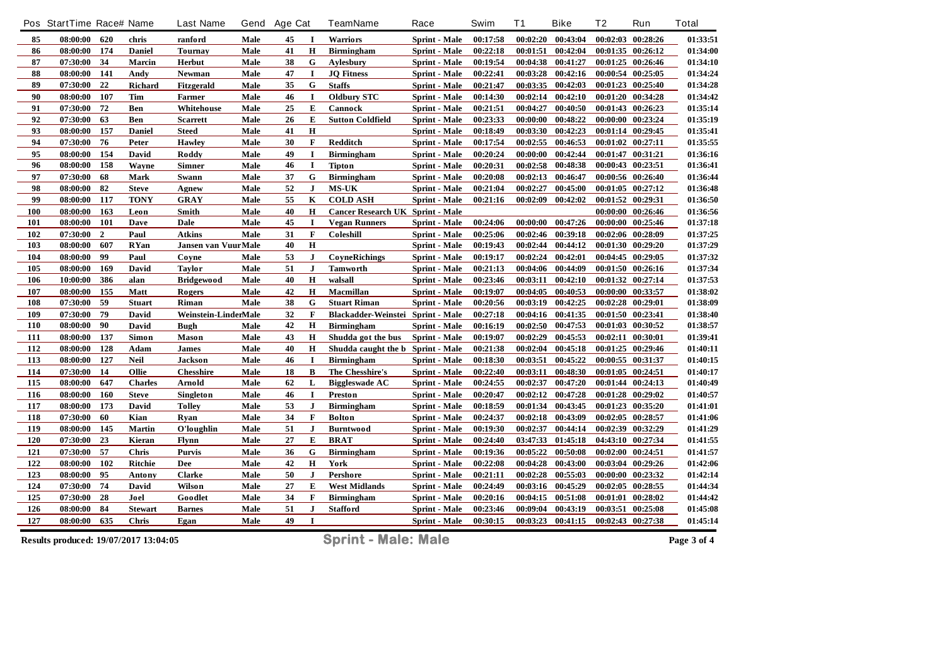|     | Pos StartTime Race# Name              |                |                | <b>Last Name</b>           | Gend | Age Cat |              | TeamName                          | Race                 | Swim     | <b>T1</b> | <b>Bike</b>       | Τ2       | Run               | <b>Total</b> |
|-----|---------------------------------------|----------------|----------------|----------------------------|------|---------|--------------|-----------------------------------|----------------------|----------|-----------|-------------------|----------|-------------------|--------------|
| 85  | 08:00:00                              | 620            | chris          | ranford                    | Male | 45      | $\mathbf I$  | Warriors                          | Sprint - Male        | 00:17:58 | 00:02:20  | 00:43:04          |          | 00:02:03 00:28:26 | 01:33:51     |
| 86  | 08:00:00                              | 174            | Daniel         | <b>Tournay</b>             | Male | 41      | H            | <b>Birmingham</b>                 | <b>Sprint</b> - Male | 00:22:18 | 00:01:51  | 00:42:04          |          | 00:01:35 00:26:12 | 01:34:00     |
| 87  | 07:30:00                              | 34             | Marcin         | Herbut                     | Male | 38      | G            | Aylesbury                         | Sprint - Male        | 00:19:54 | 00:04:38  | 00:41:27          |          | 00:01:25 00:26:46 | 01:34:10     |
| 88  | 08:00:00                              | 141            | Andy           | Newman                     | Male | 47      | $\bf{I}$     | <b>JQ</b> Fitness                 | Sprint - Male        | 00:22:41 | 00:03:28  | 00:42:16          |          | 00:00:54 00:25:05 | 01:34:24     |
| 89  | 07:30:00                              | 22             | Richard        | Fitzgerald                 | Male | 35      | G            | <b>Staffs</b>                     | <b>Sprint</b> - Male | 00:21:47 | 00:03:35  | 00:42:03          |          | 00:01:23 00:25:40 | 01:34:28     |
| 90  | 08:00:00                              | 107            | Tim            | Farmer                     | Male | 46      | $\mathbf I$  | <b>Oldbury STC</b>                | Sprint - Male        | 00:14:30 | 00:02:14  | 00:42:10          |          | 00:01:20 00:34:28 | 01:34:42     |
| 91  | 07:30:00                              | 72             | Ben            | Whitehouse                 | Male | 25      | ${\bf E}$    | Cannock                           | Sprint - Male        | 00:21:51 | 00:04:27  | 00:40:50          |          | 00:01:43 00:26:23 | 01:35:14     |
| 92  | 07:30:00                              | 63             | Ben            | <b>Scarrett</b>            | Male | 26      | E            | <b>Sutton Coldfield</b>           | <b>Sprint - Male</b> | 00:23:33 | 00:00:00  | 00:48:22          |          | 00:00:00 00:23:24 | 01:35:19     |
| 93  | 08:00:00                              | 157            | <b>Daniel</b>  | <b>Steed</b>               | Male | 41      | $\mathbf H$  |                                   | Sprint - Male        | 00:18:49 | 00:03:30  | 00:42:23          |          | 00:01:14 00:29:45 | 01:35:41     |
| 94  | 07:30:00                              | 76             | Peter          | Hawley                     | Male | 30      | $\mathbf F$  | <b>Redditch</b>                   | <b>Sprint</b> - Male | 00:17:54 | 00:02:55  | 00:46:53          |          | 00:01:02 00:27:11 | 01:35:55     |
| 95  | 08:00:00                              | 154            | David          | Roddy                      | Male | 49      | I            | <b>Birmingham</b>                 | Sprint - Male        | 00:20:24 | 00:00:00  | 00:42:44          |          | 00:01:47 00:31:21 | 01:36:16     |
| 96  | 08:00:00                              | 158            | Wayne          | <b>Simner</b>              | Male | 46      | $\bf{I}$     | <b>Tipton</b>                     | Sprint - Male        | 00:20:31 | 00:02:58  | 00:48:38          |          | 00:00:43 00:23:51 | 01:36:41     |
| 97  | 07:30:00                              | 68             | Mark           | Swann                      | Male | 37      | G            | <b>Birmingham</b>                 | <b>Sprint</b> - Male | 00:20:08 | 00:02:13  | 00:46:47          |          | 00:00:56 00:26:40 | 01:36:44     |
| 98  | 08:00:00                              | 82             | <b>Steve</b>   | Agnew                      | Male | 52      | $\mathbf{J}$ | <b>MS-UK</b>                      | Sprint - Male        | 00:21:04 | 00:02:27  | 00:45:00          |          | 00:01:05 00:27:12 | 01:36:48     |
| 99  | 08:00:00                              | 117            | <b>TONY</b>    | <b>GRAY</b>                | Male | 55      | K            | <b>COLD ASH</b>                   | <b>Sprint</b> - Male | 00:21:16 | 00:02:09  | 00:42:02          |          | 00:01:52 00:29:31 | 01:36:50     |
| 100 | 08:00:00                              | 163            | Leon           | Smith                      | Male | 40      | $\bf H$      | Cancer Research UK Sprint - Male  |                      |          |           |                   |          | 00:00:00 00:26:46 | 01:36:56     |
| 101 | 08:00:00                              | 101            | Dave           | Dale                       | Male | 45      | $\mathbf I$  | <b>Vegan Runners</b>              | <b>Sprint - Male</b> | 00:24:06 | 00:00:00  | 00:47:26          | 00:00:00 | 00:25:46          | 01:37:18     |
| 102 | 07:30:00                              | $\overline{2}$ | Paul           | <b>Atkins</b>              | Male | 31      | $\mathbf F$  | Coleshill                         | <b>Sprint</b> - Male | 00:25:06 | 00:02:46  | 00:39:18          |          | 00:02:06 00:28:09 | 01:37:25     |
| 103 | 08:00:00                              | 607            | <b>RYan</b>    | <b>Jansen van VuurMale</b> |      | 40      | Н            |                                   | Sprint - Male        | 00:19:43 | 00:02:44  | 00:44:12          |          | 00:01:30 00:29:20 | 01:37:29     |
| 104 | 08:00:00                              | 99             | Paul           | Coyne                      | Male | 53      | $\bf J$      | <b>CoyneRichings</b>              | <b>Sprint</b> - Male | 00:19:17 | 00:02:24  | 00:42:01          |          | 00:04:45 00:29:05 | 01:37:32     |
| 105 | 08:00:00                              | 169            | David          | <b>Taylor</b>              | Male | 51      | J            | <b>Tamworth</b>                   | <b>Sprint - Male</b> | 00:21:13 | 00:04:06  | 00:44:09          |          | 00:01:50 00:26:16 | 01:37:34     |
| 106 | 10:00:00                              | 386            | alan           | <b>Bridgewood</b>          | Male | 40      | $\mathbf H$  | walsall                           | Sprint - Male        | 00:23:46 | 00:03:11  | 00:42:10          |          | 00:01:32 00:27:14 | 01:37:53     |
| 107 | 08:00:00                              | 155            | Matt           | Rogers                     | Male | 42      | $\mathbf H$  | Macmillan                         | Sprint - Male        | 00:19:07 | 00:04:05  | 00:40:53          |          | 00:00:00 00:33:57 | 01:38:02     |
| 108 | 07:30:00                              | 59             | <b>Stuart</b>  | Riman                      | Male | 38      | G            | <b>Stuart Riman</b>               | <b>Sprint - Male</b> | 00:20:56 | 00:03:19  | 00:42:25          |          | 00:02:28 00:29:01 | 01:38:09     |
| 109 | 07:30:00                              | 79             | David          | Weinstein-LinderMale       |      | 32      | $\mathbf F$  | Blackadder-Weinstei Sprint - Male |                      | 00:27:18 | 00:04:16  | 00:41:35          |          | 00:01:50 00:23:41 | 01:38:40     |
| 110 | 08:00:00                              | 90             | David          | <b>Bugh</b>                | Male | 42      | $\mathbf H$  | <b>Birmingham</b>                 | Sprint - Male        | 00:16:19 | 00:02:50  | 00:47:53          |          | 00:01:03 00:30:52 | 01:38:57     |
| 111 | 08:00:00                              | 137            | Simon          | Mason                      | Male | 43      | Н            | Shudda got the bus                | Sprint - Male        | 00:19:07 | 00:02:29  | 00:45:53          | 00:02:11 | 00:30:01          | 01:39:41     |
| 112 | 08:00:00                              | 128            | Adam           | <b>James</b>               | Male | 40      | $\mathbf H$  | Shudda caught the b Sprint - Male |                      | 00:21:38 | 00:02:04  | 00:45:18          |          | 00:01:25 00:29:46 | 01:40:11     |
| 113 | 08:00:00                              | 127            | <b>Neil</b>    | Jackson                    | Male | 46      | I            | <b>Birmingham</b>                 | <b>Sprint - Male</b> | 00:18:30 | 00:03:51  | 00:45:22          |          | 00:00:55 00:31:37 | 01:40:15     |
| 114 | 07:30:00                              | 14             | Ollie          | <b>Chesshire</b>           | Male | 18      | B            | The Chesshire's                   | Sprint - Male        | 00:22:40 | 00:03:11  | 00:48:30          |          | 00:01:05 00:24:51 | 01:40:17     |
| 115 | 08:00:00                              | 647            | <b>Charles</b> | Arnold                     | Male | 62      | L            | <b>Biggleswade AC</b>             | Sprint - Male        | 00:24:55 | 00:02:37  | 00:47:20          |          | 00:01:44 00:24:13 | 01:40:49     |
| 116 | 08:00:00                              | 160            | <b>Steve</b>   | Singleton                  | Male | 46      | $\mathbf I$  | <b>Preston</b>                    | Sprint - Male        | 00:20:47 | 00:02:12  | 00:47:28          |          | 00:01:28 00:29:02 | 01:40:57     |
| 117 | 08:00:00                              | 173            | David          | <b>Tolley</b>              | Male | 53      | $\mathbf{J}$ | <b>Birmingham</b>                 | Sprint - Male        | 00:18:59 | 00:01:34  | 00:43:45          |          | 00:01:23 00:35:20 | 01:41:01     |
| 118 | 07:30:00                              | 60             | Kian           | Rvan                       | Male | 34      | $\bf F$      | <b>Bolton</b>                     | <b>Sprint</b> - Male | 00:24:37 | 00:02:18  | 00:43:09          |          | 00:02:05 00:28:57 | 01:41:06     |
| 119 | 08:00:00                              | 145            | <b>Martin</b>  | O'loughlin                 | Male | 51      | J            | <b>Burntwood</b>                  | Sprint - Male        | 00:19:30 | 00:02:37  | 00:44:14          |          | 00:02:39 00:32:29 | 01:41:29     |
| 120 | 07:30:00                              | 23             | Kieran         | Flynn                      | Male | 27      | E            | <b>BRAT</b>                       | Sprint - Male        | 00:24:40 | 03:47:33  | 01:45:18          |          | 04:43:10 00:27:34 | 01:41:55     |
| 121 | 07:30:00                              | 57             | <b>Chris</b>   | <b>Purvis</b>              | Male | 36      | G            | <b>Birmingham</b>                 | <b>Sprint - Male</b> | 00:19:36 | 00:05:22  | 00:50:08          |          | 00:02:00 00:24:51 | 01:41:57     |
| 122 | 08:00:00                              | 102            | Ritchie        | Dee                        | Male | 42      | $\mathbf H$  | York                              | Sprint - Male        | 00:22:08 | 00:04:28  | 00:43:00          |          | 00:03:04 00:29:26 | 01:42:06     |
| 123 | 08:00:00                              | 95             | Antony         | <b>Clarke</b>              | Male | 50      | $\mathbf J$  | Pershore                          | Sprint - Male        | 00:21:11 | 00:02:28  | 00:55:03          | 00:00:00 | 00:23:32          | 01:42:14     |
| 124 | 07:30:00                              | 74             | David          | Wilson                     | Male | 27      | E            | <b>West Midlands</b>              | Sprint - Male        | 00:24:49 | 00:03:16  | 00:45:29          | 00:02:05 | 00:28:55          | 01:44:34     |
| 125 | 07:30:00                              | 28             | Joel           | Goodlet                    | Male | 34      | F            | <b>Birmingham</b>                 | Sprint - Male        | 00:20:16 | 00:04:15  | 00:51:08          |          | 00:01:01 00:28:02 | 01:44:42     |
| 126 | 08:00:00                              | 84             | <b>Stewart</b> | <b>Barnes</b>              | Male | 51      | $\bf J$      | <b>Stafford</b>                   | <b>Sprint</b> - Male | 00:23:46 | 00:09:04  | 00:43:19          | 00:03:51 | 00:25:08          | 01:45:08     |
| 127 | 08:00:00                              | 635            | Chris          | Egan                       | Male | 49      | I            |                                   | <b>Sprint - Male</b> | 00:30:15 |           | 00:03:23 00:41:15 |          | 00:02:43 00:27:38 | 01:45:14     |
|     | Results produced: 19/07/2017 13:04:05 |                |                |                            |      |         |              | <b>Sprint - Male: Male</b>        |                      |          |           |                   |          |                   | Page 3 of 4  |